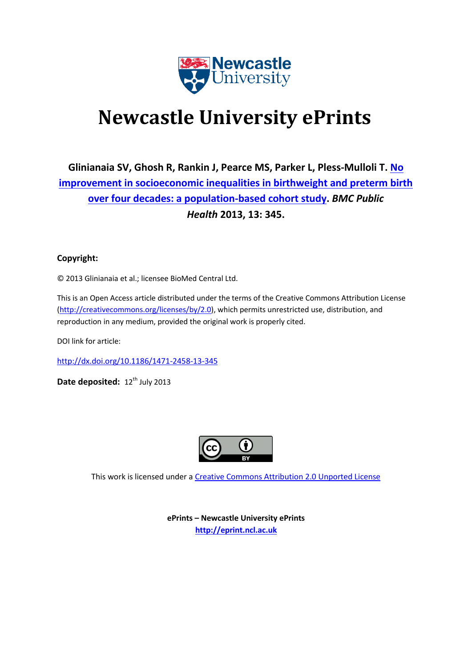

# **Newcastle University ePrints**

**Glinianaia SV, Ghosh R, Rankin J, Pearce MS, Parker L, Pless-Mulloli T. [No](javascript:ViewPublication(192378);)  [improvement in socioeconomic inequalities in birthweight and preterm birth](javascript:ViewPublication(192378);)  [over four decades: a population-based cohort study.](javascript:ViewPublication(192378);)** *BMC Public Health* **2013, 13: 345.**

## **Copyright:**

© 2013 Glinianaia et al.; licensee BioMed Central Ltd.

This is an Open Access article distributed under the terms of the Creative Commons Attribution License [\(http://creativecommons.org/licenses/by/2.0\)](http://creativecommons.org/licenses/by/2.0), which permits unrestricted use, distribution, and reproduction in any medium, provided the original work is properly cited.

DOI link for article:

<http://dx.doi.org/10.1186/1471-2458-13-345>

Date deposited: 12<sup>th</sup> July 2013



This work is licensed under a [Creative Commons Attribution 2.0 Unported License](http://creativecommons.org/licenses/by/2.0/)

**ePrints – Newcastle University ePrints [http://eprint.ncl.ac.uk](http://eprint.ncl.ac.uk/)**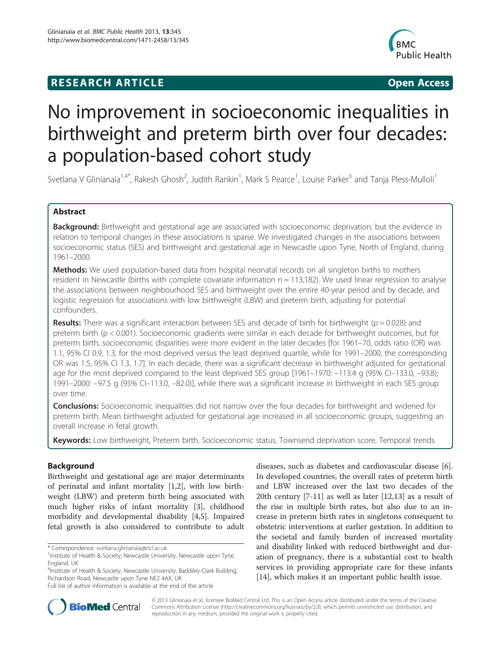## **RESEARCH ARTICLE Example 2014 12:30 The SEAR CHIPS 2014 12:30 The Open Access**



# No improvement in socioeconomic inequalities in birthweight and preterm birth over four decades: a population-based cohort study

Svetlana V Glinianaia<sup>1,4\*</sup>, Rakesh Ghosh<sup>2</sup>, Judith Rankin<sup>1</sup>, Mark S Pearce<sup>1</sup>, Louise Parker<sup>3</sup> and Tanja Pless-Mulloli<sup>1</sup>

## Abstract

Background: Birthweight and gestational age are associated with socioeconomic deprivation, but the evidence in relation to temporal changes in these associations is sparse. We investigated changes in the associations between socioeconomic status (SES) and birthweight and gestational age in Newcastle upon Tyne, North of England, during 1961–2000.

Methods: We used population-based data from hospital neonatal records on all singleton births to mothers resident in Newcastle (births with complete covariate information  $n = 113,182$ ). We used linear regression to analyse the associations between neighbourhood SES and birthweight over the entire 40-year period and by decade, and logistic regression for associations with low birthweight (LBW) and preterm birth, adjusting for potential confounders.

**Results:** There was a significant interaction between SES and decade of birth for birthweight ( $p = 0.028$ ) and preterm birth (p < 0.001). Socioeconomic gradients were similar in each decade for birthweight outcomes, but for preterm birth, socioeconomic disparities were more evident in the later decades [for 1961–70, odds ratio (OR) was 1.1, 95% CI 0.9, 1.3, for the most deprived versus the least deprived quartile, while for 1991–2000, the corresponding OR was 1.5, 95% CI 1.3, 1.7]. In each decade, there was a significant decrease in birthweight adjusted for gestational age for the most deprived compared to the least deprived SES group [1961–1970: -113.4 g (95% CI–133.0, -93.8); 1991–2000: –97.5 g (95% CI–113.0, –82.0)], while there was a significant increase in birthweight in each SES group over time.

**Conclusions:** Socioeconomic inequalities did not narrow over the four decades for birthweight and widened for preterm birth. Mean birthweight adjusted for gestational age increased in all socioeconomic groups, suggesting an overall increase in fetal growth.

Keywords: Low birthweight, Preterm birth, Socioeconomic status, Townsend deprivation score, Temporal trends

## Background

Birthweight and gestational age are major determinants of perinatal and infant mortality [\[1,2](#page-8-0)], with low birthweight (LBW) and preterm birth being associated with much higher risks of infant mortality [\[3](#page-8-0)], childhood morbidity and developmental disability [\[4,5](#page-8-0)]. Impaired fetal growth is also considered to contribute to adult

diseases, such as diabetes and cardiovascular disease [\[6](#page-8-0)]. In developed countries, the overall rates of preterm birth and LBW increased over the last two decades of the 20th century [[7-](#page-8-0)[11](#page-9-0)] as well as later [\[12,13](#page-9-0)] as a result of the rise in multiple birth rates, but also due to an increase in preterm birth rates in singletons consequent to obstetric interventions at earlier gestation. In addition to the societal and family burden of increased mortality and disability linked with reduced birthweight and duration of pregnancy, there is a substantial cost to health services in providing appropriate care for these infants [[14\]](#page-9-0), which makes it an important public health issue.



© 2013 Glinianaia et al.; licensee BioMed Central Ltd. This is an Open Access article distributed under the terms of the Creative Commons Attribution License [\(http://creativecommons.org/licenses/by/2.0\)](http://creativecommons.org/licenses/by/2.0), which permits unrestricted use, distribution, and reproduction in any medium, provided the original work is properly cited.

<sup>\*</sup> Correspondence: [svetlana.glinianaia@ncl.ac.uk](mailto:svetlana.glinianaia@ncl.ac.uk) <sup>1</sup>

<sup>&</sup>lt;sup>1</sup> Institute of Health & Society, Newcastle University, Newcastle upon Tyne, England, UK

<sup>4</sup> Institute of Health & Society, Newcastle University, Baddiley-Clark Building, Richardson Road, Newcastle upon Tyne NE2 4AX, UK

Full list of author information is available at the end of the article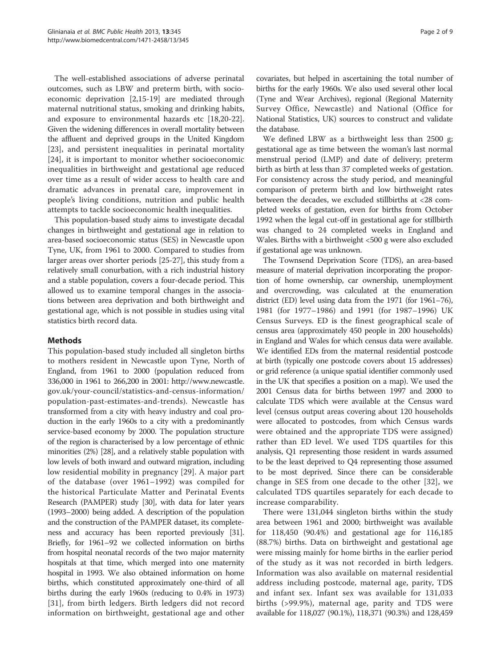The well-established associations of adverse perinatal outcomes, such as LBW and preterm birth, with socioeconomic deprivation [\[2](#page-8-0)[,15](#page-9-0)-[19\]](#page-9-0) are mediated through maternal nutritional status, smoking and drinking habits, and exposure to environmental hazards etc [\[18,20-22](#page-9-0)]. Given the widening differences in overall mortality between the affluent and deprived groups in the United Kingdom [[23\]](#page-9-0), and persistent inequalities in perinatal mortality [[24\]](#page-9-0), it is important to monitor whether socioeconomic inequalities in birthweight and gestational age reduced over time as a result of wider access to health care and dramatic advances in prenatal care, improvement in people's living conditions, nutrition and public health attempts to tackle socioeconomic health inequalities.

This population-based study aims to investigate decadal changes in birthweight and gestational age in relation to area-based socioeconomic status (SES) in Newcastle upon Tyne, UK, from 1961 to 2000. Compared to studies from larger areas over shorter periods [[25-27\]](#page-9-0), this study from a relatively small conurbation, with a rich industrial history and a stable population, covers a four-decade period. This allowed us to examine temporal changes in the associations between area deprivation and both birthweight and gestational age, which is not possible in studies using vital statistics birth record data.

## Methods

This population-based study included all singleton births to mothers resident in Newcastle upon Tyne, North of England, from 1961 to 2000 (population reduced from 336,000 in 1961 to 266,200 in 2001: [http://www.newcastle.](http://www.newcastle.gov.uk/your-council/statistics-and-census-information/population-past-estimates-and-trends) [gov.uk/your-council/statistics-and-census-information/](http://www.newcastle.gov.uk/your-council/statistics-and-census-information/population-past-estimates-and-trends) [population-past-estimates-and-trends\)](http://www.newcastle.gov.uk/your-council/statistics-and-census-information/population-past-estimates-and-trends). Newcastle has transformed from a city with heavy industry and coal production in the early 1960s to a city with a predominantly service-based economy by 2000. The population structure of the region is characterised by a low percentage of ethnic minorities (2%) [[28](#page-9-0)], and a relatively stable population with low levels of both inward and outward migration, including low residential mobility in pregnancy [[29](#page-9-0)]. A major part of the database (over 1961–1992) was compiled for the historical Particulate Matter and Perinatal Events Research (PAMPER) study [\[30](#page-9-0)], with data for later years (1993–2000) being added. A description of the population and the construction of the PAMPER dataset, its completeness and accuracy has been reported previously [\[31](#page-9-0)]. Briefly, for 1961–92 we collected information on births from hospital neonatal records of the two major maternity hospitals at that time, which merged into one maternity hospital in 1993. We also obtained information on home births, which constituted approximately one-third of all births during the early 1960s (reducing to 0.4% in 1973) [[31](#page-9-0)], from birth ledgers. Birth ledgers did not record information on birthweight, gestational age and other

covariates, but helped in ascertaining the total number of births for the early 1960s. We also used several other local (Tyne and Wear Archives), regional (Regional Maternity Survey Office, Newcastle) and National (Office for National Statistics, UK) sources to construct and validate the database.

We defined LBW as a birthweight less than 2500 g; gestational age as time between the woman's last normal menstrual period (LMP) and date of delivery; preterm birth as birth at less than 37 completed weeks of gestation. For consistency across the study period, and meaningful comparison of preterm birth and low birthweight rates between the decades, we excluded stillbirths at <28 completed weeks of gestation, even for births from October 1992 when the legal cut-off in gestational age for stillbirth was changed to 24 completed weeks in England and Wales. Births with a birthweight <500 g were also excluded if gestational age was unknown.

The Townsend Deprivation Score (TDS), an area-based measure of material deprivation incorporating the proportion of home ownership, car ownership, unemployment and overcrowding, was calculated at the enumeration district (ED) level using data from the 1971 (for 1961–76), 1981 (for 1977–1986) and 1991 (for 1987–1996) UK Census Surveys. ED is the finest geographical scale of census area (approximately 450 people in 200 households) in England and Wales for which census data were available. We identified EDs from the maternal residential postcode at birth (typically one postcode covers about 15 addresses) or grid reference (a unique spatial identifier commonly used in the UK that specifies a position on a map). We used the 2001 Census data for births between 1997 and 2000 to calculate TDS which were available at the Census ward level (census output areas covering about 120 households were allocated to postcodes, from which Census wards were obtained and the appropriate TDS were assigned) rather than ED level. We used TDS quartiles for this analysis, Q1 representing those resident in wards assumed to be the least deprived to Q4 representing those assumed to be most deprived. Since there can be considerable change in SES from one decade to the other [\[32\]](#page-9-0), we calculated TDS quartiles separately for each decade to increase comparability.

There were 131,044 singleton births within the study area between 1961 and 2000; birthweight was available for 118,450 (90.4%) and gestational age for 116,185 (88.7%) births. Data on birthweight and gestational age were missing mainly for home births in the earlier period of the study as it was not recorded in birth ledgers. Information was also available on maternal residential address including postcode, maternal age, parity, TDS and infant sex. Infant sex was available for 131,033 births (>99.9%), maternal age, parity and TDS were available for 118,027 (90.1%), 118,371 (90.3%) and 128,459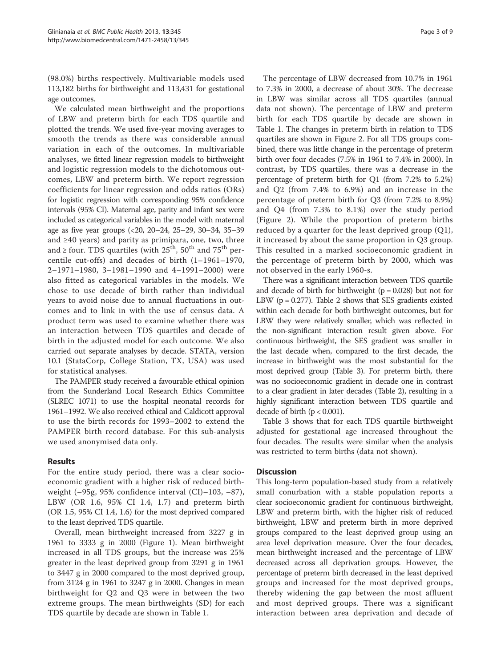(98.0%) births respectively. Multivariable models used 113,182 births for birthweight and 113,431 for gestational age outcomes.

We calculated mean birthweight and the proportions of LBW and preterm birth for each TDS quartile and plotted the trends. We used five-year moving averages to smooth the trends as there was considerable annual variation in each of the outcomes. In multivariable analyses, we fitted linear regression models to birthweight and logistic regression models to the dichotomous outcomes, LBW and preterm birth. We report regression coefficients for linear regression and odds ratios (ORs) for logistic regression with corresponding 95% confidence intervals (95% CI). Maternal age, parity and infant sex were included as categorical variables in the model with maternal age as five year groups (<20, 20–24, 25–29, 30–34, 35–39 and ≥40 years) and parity as primipara, one, two, three and  $\geq$  four. TDS quartiles (with 25<sup>th</sup>, 50<sup>th</sup> and 75<sup>th</sup> percentile cut-offs) and decades of birth (1–1961–1970, 2–1971–1980, 3–1981–1990 and 4–1991–2000) were also fitted as categorical variables in the models. We chose to use decade of birth rather than individual years to avoid noise due to annual fluctuations in outcomes and to link in with the use of census data. A product term was used to examine whether there was an interaction between TDS quartiles and decade of birth in the adjusted model for each outcome. We also carried out separate analyses by decade. STATA, version 10.1 (StataCorp, College Station, TX, USA) was used for statistical analyses.

The PAMPER study received a favourable ethical opinion from the Sunderland Local Research Ethics Committee (SLREC 1071) to use the hospital neonatal records for 1961–1992. We also received ethical and Caldicott approval to use the birth records for 1993–2002 to extend the PAMPER birth record database. For this sub-analysis we used anonymised data only.

## Results

For the entire study period, there was a clear socioeconomic gradient with a higher risk of reduced birthweight (–95g, 95% confidence interval (CI)–103, –87), LBW (OR 1.6, 95% CI 1.4, 1.7) and preterm birth (OR 1.5, 95% CI 1.4, 1.6) for the most deprived compared to the least deprived TDS quartile.

Overall, mean birthweight increased from 3227 g in 1961 to 3333 g in 2000 (Figure [1](#page-4-0)). Mean birthweight increased in all TDS groups, but the increase was 25% greater in the least deprived group from 3291 g in 1961 to 3447 g in 2000 compared to the most deprived group, from 3124 g in 1961 to 3247 g in 2000. Changes in mean birthweight for Q2 and Q3 were in between the two extreme groups. The mean birthweights (SD) for each TDS quartile by decade are shown in Table [1](#page-4-0).

The percentage of LBW decreased from 10.7% in 1961 to 7.3% in 2000, a decrease of about 30%. The decrease in LBW was similar across all TDS quartiles (annual data not shown). The percentage of LBW and preterm birth for each TDS quartile by decade are shown in Table [1](#page-4-0). The changes in preterm birth in relation to TDS quartiles are shown in Figure [2](#page-5-0). For all TDS groups combined, there was little change in the percentage of preterm birth over four decades (7.5% in 1961 to 7.4% in 2000). In contrast, by TDS quartiles, there was a decrease in the percentage of preterm birth for Q1 (from 7.2% to 5.2%) and Q2 (from 7.4% to 6.9%) and an increase in the percentage of preterm birth for Q3 (from 7.2% to 8.9%) and Q4 (from 7.3% to 8.1%) over the study period (Figure [2\)](#page-5-0). While the proportion of preterm births reduced by a quarter for the least deprived group (Q1), it increased by about the same proportion in Q3 group. This resulted in a marked socioeconomic gradient in the percentage of preterm birth by 2000, which was not observed in the early 1960-s.

There was a significant interaction between TDS quartile and decade of birth for birthweight ( $p = 0.028$ ) but not for LBW ( $p = 0.277$ ). Table [2](#page-6-0) shows that SES gradients existed within each decade for both birthweight outcomes, but for LBW they were relatively smaller, which was reflected in the non-significant interaction result given above. For continuous birthweight, the SES gradient was smaller in the last decade when, compared to the first decade, the increase in birthweight was the most substantial for the most deprived group (Table [3\)](#page-6-0). For preterm birth, there was no socioeconomic gradient in decade one in contrast to a clear gradient in later decades (Table [2\)](#page-6-0), resulting in a highly significant interaction between TDS quartile and decade of birth  $(p < 0.001)$ .

Table [3](#page-6-0) shows that for each TDS quartile birthweight adjusted for gestational age increased throughout the four decades. The results were similar when the analysis was restricted to term births (data not shown).

## **Discussion**

This long-term population-based study from a relatively small conurbation with a stable population reports a clear socioeconomic gradient for continuous birthweight, LBW and preterm birth, with the higher risk of reduced birthweight, LBW and preterm birth in more deprived groups compared to the least deprived group using an area level deprivation measure. Over the four decades, mean birthweight increased and the percentage of LBW decreased across all deprivation groups. However, the percentage of preterm birth decreased in the least deprived groups and increased for the most deprived groups, thereby widening the gap between the most affluent and most deprived groups. There was a significant interaction between area deprivation and decade of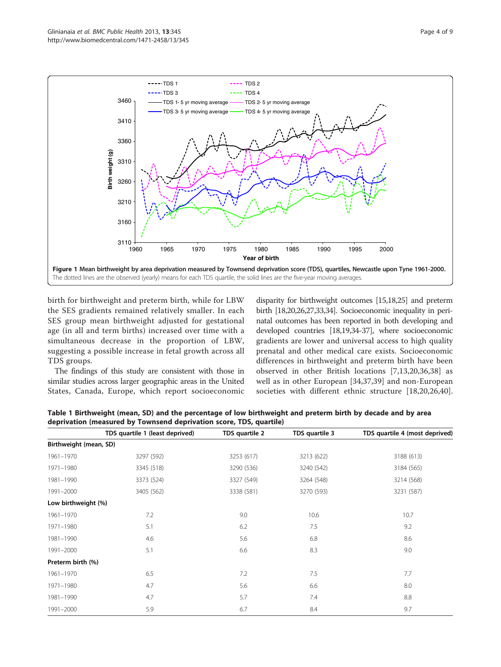<span id="page-4-0"></span>

birth for birthweight and preterm birth, while for LBW the SES gradients remained relatively smaller. In each SES group mean birthweight adjusted for gestational age (in all and term births) increased over time with a simultaneous decrease in the proportion of LBW, suggesting a possible increase in fetal growth across all TDS groups.

The findings of this study are consistent with those in similar studies across larger geographic areas in the United States, Canada, Europe, which report socioeconomic

disparity for birthweight outcomes [[15,18,25\]](#page-9-0) and preterm birth [\[18,20,26,27,33,34](#page-9-0)]. Socioeconomic inequality in perinatal outcomes has been reported in both developing and developed countries [\[18,19,34-37\]](#page-9-0), where socioeconomic gradients are lower and universal access to high quality prenatal and other medical care exists. Socioeconomic differences in birthweight and preterm birth have been observed in other British locations [[7,](#page-8-0)[13,20,36,38\]](#page-9-0) as well as in other European [\[34](#page-9-0),[37,39\]](#page-9-0) and non-European societies with different ethnic structure [\[18](#page-9-0),[20,26,40](#page-9-0)].

Table 1 Birthweight (mean, SD) and the percentage of low birthweight and preterm birth by decade and by area deprivation (measured by Townsend deprivation score, TDS, quartile)

|                        | TDS quartile 1 (least deprived) | TDS quartile 2 | TDS quartile 3 | TDS quartile 4 (most deprived) |
|------------------------|---------------------------------|----------------|----------------|--------------------------------|
| Birthweight (mean, SD) |                                 |                |                |                                |
| 1961-1970              | 3297 (592)                      | 3253 (617)     | 3213 (622)     | 3188 (613)                     |
| 1971-1980              | 3345 (518)                      | 3290 (536)     | 3240 (542)     | 3184 (565)                     |
| 1981-1990              | 3373 (524)                      | 3327 (549)     | 3264 (548)     | 3214 (568)                     |
| 1991-2000              | 3405 (562)                      | 3338 (581)     | 3270 (593)     | 3231 (587)                     |
| Low birthweight (%)    |                                 |                |                |                                |
| 1961-1970              | 7.2                             | 9.0            | 10.6           | 10.7                           |
| 1971-1980              | 5.1                             | 6.2            | 7.5            | 9.2                            |
| 1981-1990              | 4.6                             | 5.6            | 6.8            | 8.6                            |
| 1991-2000              | 5.1                             | 6.6            | 8.3            | 9.0                            |
| Preterm birth (%)      |                                 |                |                |                                |
| 1961-1970              | 6.5                             | 7.2            | 7.5            | 7.7                            |
| 1971-1980              | 4.7                             | 5.6            | 6.6            | 8.0                            |
| 1981-1990              | 4.7                             | 5.7            | 7.4            | 8.8                            |
| 1991-2000              | 5.9                             | 6.7            | 8.4            | 9.7                            |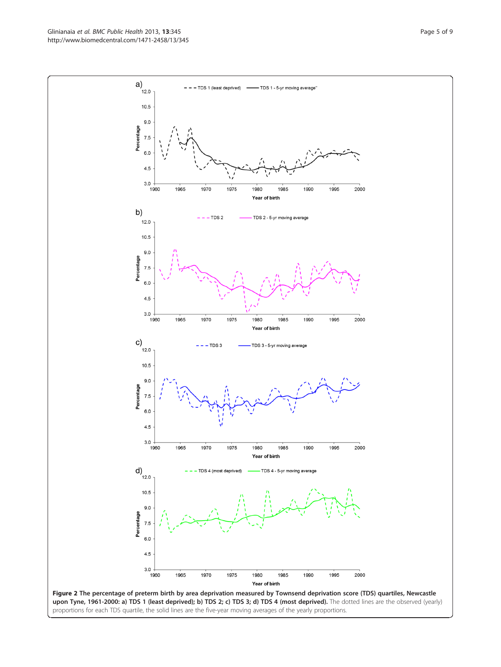<span id="page-5-0"></span>Glinianaia et al. BMC Public Health 2013, 13:345 Page 5 of 9 http://www.biomedcentral.com/1471-2458/13/345



proportions for each TDS quartile, the solid lines are the five-year moving averages of the yearly proportions.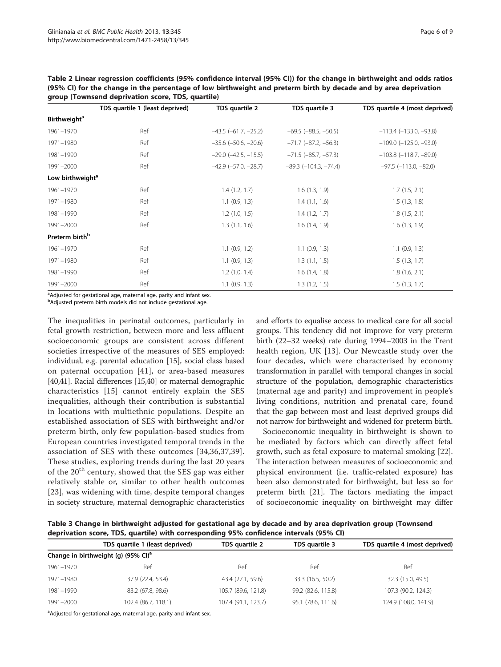|                                | TDS quartile 1 (least deprived)                                                                                             | TDS quartile 2                | TDS quartile 3                 | TDS quartile 4 (most deprived)  |
|--------------------------------|-----------------------------------------------------------------------------------------------------------------------------|-------------------------------|--------------------------------|---------------------------------|
| <b>Birthweight<sup>a</sup></b> |                                                                                                                             |                               |                                |                                 |
| 1961-1970                      | Ref                                                                                                                         | $-43.5$ ( $-61.7, -25.2$ )    | $-69.5$ ( $-88.5, -50.5$ )     | $-113.4$ ( $-133.0$ , $-93.8$ ) |
| 1971-1980                      | Ref                                                                                                                         | $-35.6$ ( $-50.6$ , $-20.6$ ) | $-71.7$ ( $-87.2$ , $-56.3$ )  | $-109.0$ ( $-125.0$ , $-93.0$ ) |
| 1981-1990                      | Ref                                                                                                                         | $-29.0$ ( $-42.5$ , $-15.5$ ) | $-71.5$ ( $-85.7, -57.3$ )     | $-103.8$ ( $-118.7$ , $-89.0$ ) |
| 1991-2000                      | Ref                                                                                                                         | $-42.9$ ( $-57.0$ , $-28.7$ ) | $-89.3$ ( $-104.3$ , $-74.4$ ) | $-97.5$ ( $-113.0$ , $-82.0$ )  |
| Low birthweight <sup>a</sup>   |                                                                                                                             |                               |                                |                                 |
| 1961-1970                      | Ref                                                                                                                         | 1.4(1.2, 1.7)                 | 1.6(1.3, 1.9)                  | 1.7(1.5, 2.1)                   |
| 1971-1980                      | Ref                                                                                                                         | $1.1$ (0.9, 1.3)              | 1.4(1.1, 1.6)                  | 1.5(1.3, 1.8)                   |
| 1981-1990                      | Ref                                                                                                                         | $1.2$ (1.0, 1.5)              | 1.4(1.2, 1.7)                  | 1.8(1.5, 2.1)                   |
| 1991-2000                      | Ref                                                                                                                         | 1.3(1.1, 1.6)                 | 1.6(1.4, 1.9)                  | 1.6(1.3, 1.9)                   |
| Preterm birth <sup>b</sup>     |                                                                                                                             |                               |                                |                                 |
| 1961-1970                      | Ref                                                                                                                         | $1.1$ (0.9, 1.2)              | $1.1$ (0.9, 1.3)               | $1.1$ (0.9, 1.3)                |
| 1971-1980                      | Ref                                                                                                                         | $1.1$ (0.9, 1.3)              | 1.3(1.1, 1.5)                  | 1.5(1.3, 1.7)                   |
| 1981-1990                      | Ref                                                                                                                         | $1.2$ $(1.0, 1.4)$            | 1.6(1.4, 1.8)                  | 1.8(1.6, 2.1)                   |
| 1991-2000                      | Ref                                                                                                                         | $1.1$ (0.9, 1.3)              | 1.3(1.2, 1.5)                  | 1.5(1.3, 1.7)                   |
| 24.11.16                       | $\cdots$<br>and the state of the state of the state of the state of the state of the state of the state of the state of the |                               |                                |                                 |

<span id="page-6-0"></span>Table 2 Linear regression coefficients (95% confidence interval (95% CI)) for the change in birthweight and odds ratios (95% CI) for the change in the percentage of low birthweight and preterm birth by decade and by area deprivation group (Townsend deprivation score, TDS, quartile)

<sup>a</sup>Adjusted for gestational age, maternal age, parity and infant sex.

<sup>b</sup>Adjusted preterm birth models did not include gestational age.

The inequalities in perinatal outcomes, particularly in fetal growth restriction, between more and less affluent socioeconomic groups are consistent across different societies irrespective of the measures of SES employed: individual, e.g. parental education [\[15\]](#page-9-0), social class based on paternal occupation [[41\]](#page-9-0), or area-based measures [[40,41\]](#page-9-0). Racial differences [\[15,40\]](#page-9-0) or maternal demographic characteristics [[15\]](#page-9-0) cannot entirely explain the SES inequalities, although their contribution is substantial in locations with multiethnic populations. Despite an established association of SES with birthweight and/or preterm birth, only few population-based studies from European countries investigated temporal trends in the association of SES with these outcomes [[34](#page-9-0),[36,37,39](#page-9-0)]. These studies, exploring trends during the last 20 years of the  $20<sup>th</sup>$  century, showed that the SES gap was either relatively stable or, similar to other health outcomes [[23](#page-9-0)], was widening with time, despite temporal changes in society structure, maternal demographic characteristics

and efforts to equalise access to medical care for all social groups. This tendency did not improve for very preterm birth (22–32 weeks) rate during 1994–2003 in the Trent health region, UK [[13](#page-9-0)]. Our Newcastle study over the four decades, which were characterised by economy transformation in parallel with temporal changes in social structure of the population, demographic characteristics (maternal age and parity) and improvement in people's living conditions, nutrition and prenatal care, found that the gap between most and least deprived groups did not narrow for birthweight and widened for preterm birth.

Socioeconomic inequality in birthweight is shown to be mediated by factors which can directly affect fetal growth, such as fetal exposure to maternal smoking [\[22](#page-9-0)]. The interaction between measures of socioeconomic and physical environment (i.e. traffic-related exposure) has been also demonstrated for birthweight, but less so for preterm birth [\[21](#page-9-0)]. The factors mediating the impact of socioeconomic inequality on birthweight may differ

Table 3 Change in birthweight adjusted for gestational age by decade and by area deprivation group (Townsend deprivation score, TDS, quartile) with corresponding 95% confidence intervals (95% CI)

|                                                 | TDS quartile 1 (least deprived) | TDS quartile 2      | TDS quartile 3     | TDS quartile 4 (most deprived) |  |
|-------------------------------------------------|---------------------------------|---------------------|--------------------|--------------------------------|--|
| Change in birthweight (g) (95% CI) <sup>a</sup> |                                 |                     |                    |                                |  |
| 1961-1970                                       | Ref                             | Ref                 | Ref                | Ref                            |  |
| 1971-1980                                       | 37.9 (22.4, 53.4)               | 43.4 (27.1, 59.6)   | 33.3 (16.5, 50.2)  | 32.3 (15.0, 49.5)              |  |
| 1981–1990                                       | 83.2 (67.8, 98.6)               | 105.7 (89.6, 121.8) | 99.2 (82.6, 115.8) | 107.3 (90.2, 124.3)            |  |
| 1991-2000                                       | 102.4 (86.7, 118.1)             | 107.4 (91.1, 123.7) | 95.1 (78.6, 111.6) | 124.9 (108.0, 141.9)           |  |

<sup>a</sup>Adjusted for gestational age, maternal age, parity and infant sex.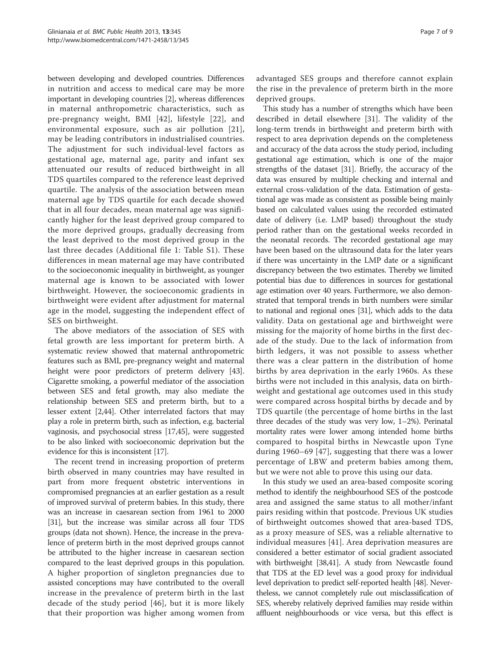between developing and developed countries. Differences in nutrition and access to medical care may be more important in developing countries [\[2](#page-8-0)], whereas differences in maternal anthropometric characteristics, such as pre-pregnancy weight, BMI [[42](#page-9-0)], lifestyle [[22](#page-9-0)], and environmental exposure, such as air pollution [[21](#page-9-0)], may be leading contributors in industrialised countries. The adjustment for such individual-level factors as gestational age, maternal age, parity and infant sex attenuated our results of reduced birthweight in all TDS quartiles compared to the reference least deprived quartile. The analysis of the association between mean maternal age by TDS quartile for each decade showed that in all four decades, mean maternal age was significantly higher for the least deprived group compared to the more deprived groups, gradually decreasing from the least deprived to the most deprived group in the last three decades (Additional file [1:](#page-8-0) Table S1). These differences in mean maternal age may have contributed to the socioeconomic inequality in birthweight, as younger maternal age is known to be associated with lower birthweight. However, the socioeconomic gradients in birthweight were evident after adjustment for maternal age in the model, suggesting the independent effect of SES on birthweight.

The above mediators of the association of SES with fetal growth are less important for preterm birth. A systematic review showed that maternal anthropometric features such as BMI, pre-pregnancy weight and maternal height were poor predictors of preterm delivery [[43](#page-9-0)]. Cigarette smoking, a powerful mediator of the association between SES and fetal growth, may also mediate the relationship between SES and preterm birth, but to a lesser extent [\[2](#page-8-0)[,44\]](#page-9-0). Other interrelated factors that may play a role in preterm birth, such as infection, e.g. bacterial vaginosis, and psychosocial stress [\[17,45](#page-9-0)], were suggested to be also linked with socioeconomic deprivation but the evidence for this is inconsistent [\[17\]](#page-9-0).

The recent trend in increasing proportion of preterm birth observed in many countries may have resulted in part from more frequent obstetric interventions in compromised pregnancies at an earlier gestation as a result of improved survival of preterm babies. In this study, there was an increase in caesarean section from 1961 to 2000 [[31](#page-9-0)], but the increase was similar across all four TDS groups (data not shown). Hence, the increase in the prevalence of preterm birth in the most deprived groups cannot be attributed to the higher increase in caesarean section compared to the least deprived groups in this population. A higher proportion of singleton pregnancies due to assisted conceptions may have contributed to the overall increase in the prevalence of preterm birth in the last decade of the study period [[46](#page-9-0)], but it is more likely that their proportion was higher among women from advantaged SES groups and therefore cannot explain the rise in the prevalence of preterm birth in the more deprived groups.

This study has a number of strengths which have been described in detail elsewhere [[31\]](#page-9-0). The validity of the long-term trends in birthweight and preterm birth with respect to area deprivation depends on the completeness and accuracy of the data across the study period, including gestational age estimation, which is one of the major strengths of the dataset [[31](#page-9-0)]. Briefly, the accuracy of the data was ensured by multiple checking and internal and external cross-validation of the data. Estimation of gestational age was made as consistent as possible being mainly based on calculated values using the recorded estimated date of delivery (i.e. LMP based) throughout the study period rather than on the gestational weeks recorded in the neonatal records. The recorded gestational age may have been based on the ultrasound data for the later years if there was uncertainty in the LMP date or a significant discrepancy between the two estimates. Thereby we limited potential bias due to differences in sources for gestational age estimation over 40 years. Furthermore, we also demonstrated that temporal trends in birth numbers were similar to national and regional ones [\[31\]](#page-9-0), which adds to the data validity. Data on gestational age and birthweight were missing for the majority of home births in the first decade of the study. Due to the lack of information from birth ledgers, it was not possible to assess whether there was a clear pattern in the distribution of home births by area deprivation in the early 1960s. As these births were not included in this analysis, data on birthweight and gestational age outcomes used in this study were compared across hospital births by decade and by TDS quartile (the percentage of home births in the last three decades of the study was very low, 1–2%). Perinatal mortality rates were lower among intended home births compared to hospital births in Newcastle upon Tyne during 1960–69 [[47\]](#page-9-0), suggesting that there was a lower percentage of LBW and preterm babies among them, but we were not able to prove this using our data.

In this study we used an area-based composite scoring method to identify the neighbourhood SES of the postcode area and assigned the same status to all mother/infant pairs residing within that postcode. Previous UK studies of birthweight outcomes showed that area-based TDS, as a proxy measure of SES, was a reliable alternative to individual measures [[41](#page-9-0)]. Area deprivation measures are considered a better estimator of social gradient associated with birthweight [\[38,41](#page-9-0)]. A study from Newcastle found that TDS at the ED level was a good proxy for individual level deprivation to predict self-reported health [[48\]](#page-9-0). Nevertheless, we cannot completely rule out misclassification of SES, whereby relatively deprived families may reside within affluent neighbourhoods or vice versa, but this effect is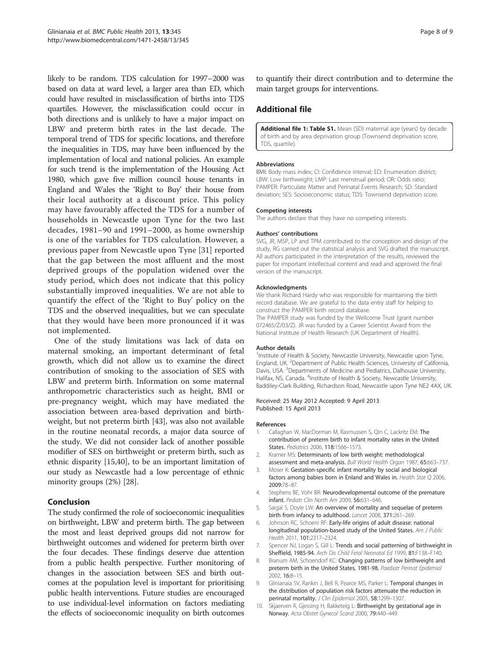<span id="page-8-0"></span>likely to be random. TDS calculation for 1997–2000 was based on data at ward level, a larger area than ED, which could have resulted in misclassification of births into TDS quartiles. However, the misclassification could occur in both directions and is unlikely to have a major impact on LBW and preterm birth rates in the last decade. The temporal trend of TDS for specific locations, and therefore the inequalities in TDS, may have been influenced by the implementation of local and national policies. An example for such trend is the implementation of the Housing Act 1980, which gave five million council house tenants in England and Wales the 'Right to Buy' their house from their local authority at a discount price. This policy may have favourably affected the TDS for a number of households in Newcastle upon Tyne for the two last decades, 1981–90 and 1991–2000, as home ownership is one of the variables for TDS calculation. However, a previous paper from Newcastle upon Tyne [\[31](#page-9-0)] reported that the gap between the most affluent and the most deprived groups of the population widened over the study period, which does not indicate that this policy substantially improved inequalities. We are not able to quantify the effect of the 'Right to Buy' policy on the TDS and the observed inequalities, but we can speculate that they would have been more pronounced if it was not implemented.

One of the study limitations was lack of data on maternal smoking, an important determinant of fetal growth, which did not allow us to examine the direct contribution of smoking to the association of SES with LBW and preterm birth. Information on some maternal anthropometric characteristics such as height, BMI or pre-pregnancy weight, which may have mediated the association between area-based deprivation and birthweight, but not preterm birth [[43\]](#page-9-0), was also not available in the routine neonatal records, a major data source of the study. We did not consider lack of another possible modifier of SES on birthweight or preterm birth, such as ethnic disparity [[15,40\]](#page-9-0), to be an important limitation of our study as Newcastle had a low percentage of ethnic minority groups (2%) [[28](#page-9-0)].

## Conclusion

The study confirmed the role of socioeconomic inequalities on birthweight, LBW and preterm birth. The gap between the most and least deprived groups did not narrow for birthweight outcomes and widened for preterm birth over the four decades. These findings deserve due attention from a public health perspective. Further monitoring of changes in the association between SES and birth outcomes at the population level is important for prioritising public health interventions. Future studies are encouraged to use individual-level information on factors mediating the effects of socioeconomic inequality on birth outcomes to quantify their direct contribution and to determine the main target groups for interventions.

## Additional file

[Additional file 1: Table S1.](http://www.biomedcentral.com/content/supplementary/1471-2458-13-345-S1.doc) Mean (SD) maternal age (years) by decade of birth and by area deprivation group (Townsend deprivation score, TDS, quartile).

### Abbreviations

BMI: Body mass index; CI: Confidence interval; ED: Enumeration district; LBW: Low birthweight; LMP: Last menstrual period; OR: Odds ratio; PAMPER: Particulate Matter and Perinatal Events Research; SD: Standard deviation; SES: Socioeconomic status; TDS: Townsend deprivation score.

#### Competing interests

The authors declare that they have no competing interests.

#### Authors' contributions

SVG, JR, MSP, LP and TPM contributed to the conception and design of the study, RG carried out the statistical analysis and SVG drafted the manuscript. All authors participated in the interpretation of the results, reviewed the paper for important intellectual content and read and approved the final version of the manuscript.

#### Acknowledgments

We thank Richard Hardy who was responsible for maintaining the birth record database. We are grateful to the data entry staff for helping to construct the PAMPER birth record database.

The PAMPER study was funded by the Wellcome Trust (grant number 072465/Z/03/Z). JR was funded by a Career Scientist Award from the National Institute of Health Research (UK Department of Health).

#### Author details

<sup>1</sup>Institute of Health & Society, Newcastle University, Newcastle upon Tyne England, UK. <sup>2</sup>Department of Public Health Sciences, University of California, Davis, USA. <sup>3</sup> Departments of Medicine and Pediatrics, Dalhousie University, Halifax, NS, Canada. <sup>4</sup>Institute of Health & Society, Newcastle University, Baddiley-Clark Building, Richardson Road, Newcastle upon Tyne NE2 4AX, UK.

#### Received: 25 May 2012 Accepted: 9 April 2013 Published: 15 April 2013

#### References

- 1. Callaghan W, MacDorman M, Rasmussen S, Qin C, Lackritz EM: The contribution of preterm birth to infant mortality rates in the United States. Pediatrics 2006, 118:1566–1573.
- 2. Kramer MS: Determinants of low birth weight: methodological assessment and meta-analysis. Bull World Health Organ 1987, 65:663–737.
- 3. Moser K: Gestation-specific infant mortality by social and biological factors among babies born in Enland and Wales in. Health Stat Q 2006, 2009:78–87.
- 4. Stephens BE, Vohr BR: Neurodevelopmental outcome of the premature infant. Pediatr Clin North Am 2009, 56:631–646.
- 5. Saigal S, Doyle LW: An overview of mortality and sequelae of preterm birth from infancy to adulthood. Lancet 2008, 371:261–269.
- 6. Johnson RC, Schoeni RF: Early-life origins of adult disease: national longitudinal population-based study of the United States. Am J Public Health 2011, 101:2317–2324.
- 7. Spencer NJ, Logan S, Gill L: Trends and social patterning of birthweight in Sheffield, 1985-94. Arch Dis Child Fetal Neonatal Ed 1999, 81:F138–F140.
- 8. Branum AM, Schoendorf KC: Changing patterns of low birthweight and preterm birth in the United States, 1981-98. Paediatr Perinat Epidemiol 2002, 16:8–15.
- 9. Glinianaia SV, Rankin J, Bell R, Pearce MS, Parker L: Temporal changes in the distribution of population risk factors attenuate the reduction in perinatal mortality. J Clin Epidemiol 2005, 58:1299–1307.
- 10. Skjaerven R, Gjessing H, Bakketeig L: Birthweight by gestational age in Norway. Acta Obstet Gynecol Scand 2000, 79:440–449.